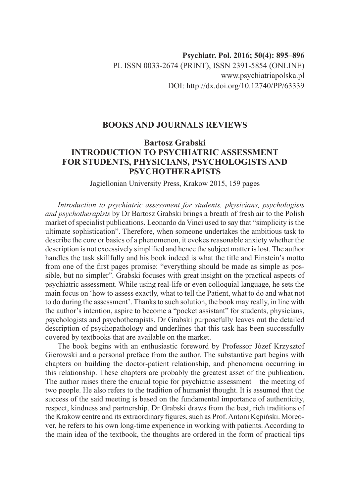## **BOOKS AND JOURNALS REVIEWS**

## **Bartosz Grabski INTRODUCTION TO PSYCHIATRIC ASSESSMENT FOR STUDENTS, PHYSICIANS, PSYCHOLOGISTS AND PSYCHOTHERAPISTS**

Jagiellonian University Press, Krakow 2015, 159 pages

*Introduction to psychiatric assessment for students, physicians, psychologists and psychotherapists* by Dr Bartosz Grabski brings a breath of fresh air to the Polish market of specialist publications. Leonardo da Vinci used to say that "simplicity is the ultimate sophistication". Therefore, when someone undertakes the ambitious task to describe the core or basics of a phenomenon, it evokes reasonable anxiety whether the description is not excessively simplified and hence the subject matter is lost. The author handles the task skillfully and his book indeed is what the title and Einstein's motto from one of the first pages promise: "everything should be made as simple as possible, but no simpler". Grabski focuses with great insight on the practical aspects of psychiatric assessment. While using real-life or even colloquial language, he sets the main focus on 'how to assess exactly, what to tell the Patient, what to do and what not to do during the assessment'. Thanks to such solution, the book may really, in line with the author's intention, aspire to become a "pocket assistant" for students, physicians, psychologists and psychotherapists. Dr Grabski purposefully leaves out the detailed description of psychopathology and underlines that this task has been successfully covered by textbooks that are available on the market.

The book begins with an enthusiastic foreword by Professor Józef Krzysztof Gierowski and a personal preface from the author. The substantive part begins with chapters on building the doctor-patient relationship, and phenomena occurring in this relationship. These chapters are probably the greatest asset of the publication. The author raises there the crucial topic for psychiatric assessment – the meeting of two people. He also refers to the tradition of humanist thought. It is assumed that the success of the said meeting is based on the fundamental importance of authenticity, respect, kindness and partnership. Dr Grabski draws from the best, rich traditions of the Krakow centre and its extraordinary figures, such as Prof. Antoni Kępiński. Moreover, he refers to his own long-time experience in working with patients. According to the main idea of the textbook, the thoughts are ordered in the form of practical tips